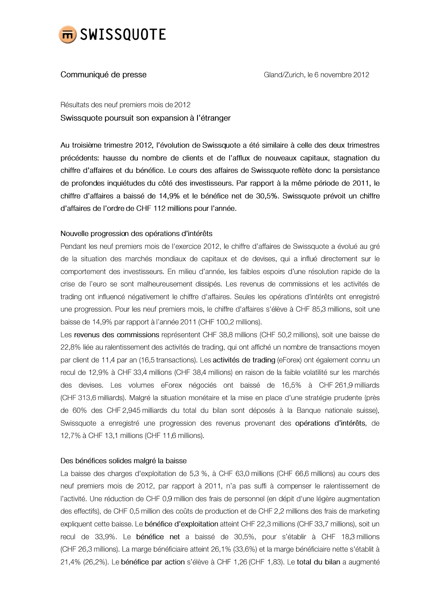

# Communiqué de presse

Gland/Zurich, le 6 novembre 2012

Résultats des neuf premiers mois de 2012 Swissquote poursuit son expansion à l'étranger

Au troisième trimestre 2012, l'évolution de Swissquote a été similaire à celle des deux trimestres précédents: hausse du nombre de clients et de l'afflux de nouveaux capitaux, stagnation du chiffre d'affaires et du bénéfice. Le cours des affaires de Swissquote reflète donc la persistance de profondes inquiétudes du côté des investisseurs. Par rapport à la même période de 2011, le chiffre d'affaires a baissé de 14,9% et le bénéfice net de 30,5%. Swissquote prévoit un chiffre d'affaires de l'ordre de CHF 112 millions pour l'année.

# Nouvelle progression des opérations d'intérêts

Pendant les neuf premiers mois de l'exercice 2012, le chiffre d'affaires de Swissquote a évolué au gré de la situation des marchés mondiaux de capitaux et de devises, qui a influé directement sur le comportement des investisseurs. En milieu d'année, les faibles espoirs d'une résolution rapide de la crise de l'euro se sont malheureusement dissipés. Les revenus de commissions et les activités de trading ont influencé négativement le chiffre d'affaires. Seules les opérations d'intérêts ont enregistré une progression. Pour les neuf premiers mois, le chiffre d'affaires s'élève à CHF 85,3 millions, soit une baisse de 14,9% par rapport à l'année 2011 (CHF 100,2 millions).

Les revenus des commissions représentent CHF 38,8 millions (CHF 50,2 millions), soit une baisse de 22,8% liée au ralentissement des activités de trading, qui ont affiché un nombre de transactions moyen par client de 11,4 par an (16,5 transactions). Les activités de trading (eForex) ont également connu un recul de 12,9% à CHF 33,4 millions (CHF 38,4 millions) en raison de la faible volatilité sur les marchés des devises. Les volumes eForex négociés ont baissé de 16,5% à CHF 261,9 milliards (CHF 313,6 milliards). Malgré la situation monétaire et la mise en place d'une stratégie prudente (près de 60% des CHF 2,945 milliards du total du bilan sont déposés à la Banque nationale suisse), Swissquote a enregistré une progression des revenus provenant des opérations d'intérêts, de 12,7% à CHF 13,1 millions (CHF 11,6 millions).

# Des bénéfices solides malgré la baisse

La baisse des charges d'exploitation de 5,3 %, à CHF 63,0 millions (CHF 66,6 millions) au cours des neuf premiers mois de 2012, par rapport à 2011, n'a pas suffi à compenser le ralentissement de l'activité. Une réduction de CHF 0,9 million des frais de personnel (en dépit d'une légère augmentation des effectifs), de CHF 0,5 million des coûts de production et de CHF 2,2 millions des frais de marketing expliquent cette baisse. Le bénéfice d'exploitation atteint CHF 22,3 millions (CHF 33,7 millions), soit un recul de 33,9%. Le bénéfice net a baissé de 30,5%, pour s'établir à CHF 18,3 millions (CHF 26,3 millions). La marge bénéficiaire atteint 26,1% (33,6%) et la marge bénéficiaire nette s'établit à 21,4% (26,2%). Le bénéfice par action s'élève à CHF 1,26 (CHF 1,83). Le total du bilan a augmenté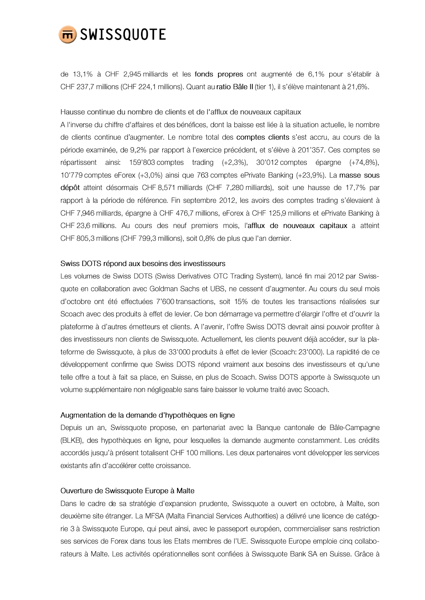

de 13,1% à CHF 2,945 milliards et les fonds propres ont augmenté de 6,1% pour s'établir à CHF 237,7 millions (CHF 224,1 millions). Quant au ratio Bâle II (tier 1), il s'élève maintenant à 21,6%.

Hausse continue du nombre de clients et de l'afflux de nouveaux capitaux

A l'inverse du chiffre d'affaires et des bénéfices, dont la baisse est liée à la situation actuelle, le nombre de clients continue d'augmenter. Le nombre total des comptes clients s'est accru, au cours de la période examinée, de 9,2% par rapport à l'exercice précédent, et s'élève à 201'357. Ces comptes se répartissent ainsi: 159'803 comptes trading (+2,3%), 30'012 comptes épargne (+74,8%), 10'779 comptes eForex (+3,0%) ainsi que 763 comptes ePrivate Banking (+23,9%). La masse sous dépôt atteint désormais CHF 8,571 milliards (CHF 7,280 milliards), soit une hausse de 17,7% par rapport à la période de référence. Fin septembre 2012, les avoirs des comptes trading s'élevaient à CHF 7,946 milliards, épargne à CHF 476,7 millions, eForex à CHF 125,9 millions et ePrivate Banking à CHF 23,6 millions. Au cours des neuf premiers mois, l'afflux de nouveaux capitaux a atteint CHF 805,3 millions (CHF 799,3 millions), soit 0,8% de plus que l'an dernier.

#### Swiss DOTS répond aux besoins des investisseurs

Les volumes de Swiss DOTS (Swiss Derivatives OTC Trading System), lancé fin mai 2012 par Swissquote en collaboration avec Goldman Sachs et UBS, ne cessent d'augmenter. Au cours du seul mois d'octobre ont été effectuées 7'600 transactions, soit 15% de toutes les transactions réalisées sur Scoach avec des produits à effet de levier. Ce bon démarrage va permettre d'élargir l'offre et d'ouvrir la plateforme à d'autres émetteurs et clients. A l'avenir, l'offre Swiss DOTS devrait ainsi pouvoir profiter à des investisseurs non clients de Swissquote. Actuellement, les clients peuvent déjà accéder, sur la plateforme de Swissquote, à plus de 33'000 produits à effet de levier (Scoach: 23'000). La rapidité de ce développement confirme que Swiss DOTS répond vraiment aux besoins des investisseurs et qu'une telle offre a tout à fait sa place, en Suisse, en plus de Scoach. Swiss DOTS apporte à Swissquote un volume supplémentaire non négligeable sans faire baisser le volume traité avec Scoach.

### Augmentation de la demande d'hypothèques en ligne

Depuis un an, Swissquote propose, en partenariat avec la Banque cantonale de Bâle-Campagne (BLKB), des hypothèques en ligne, pour lesquelles la demande augmente constamment. Les crédits accordés jusqu'à présent totalisent CHF 100 millions. Les deux partenaires vont développer les services existants afin d'accélérer cette croissance.

### Ouverture de Swissquote Europe à Malte

Dans le cadre de sa stratégie d'expansion prudente, Swissquote a ouvert en octobre, à Malte, son deuxième site étranger. La MFSA (Malta Financial Services Authorities) a délivré une licence de catégorie 3 à Swissquote Europe, qui peut ainsi, avec le passeport européen, commercialiser sans restriction ses services de Forex dans tous les Etats membres de l'UE. Swissquote Europe emploie cinq collaborateurs à Malte. Les activités opérationnelles sont confiées à Swissquote Bank SA en Suisse. Grâce à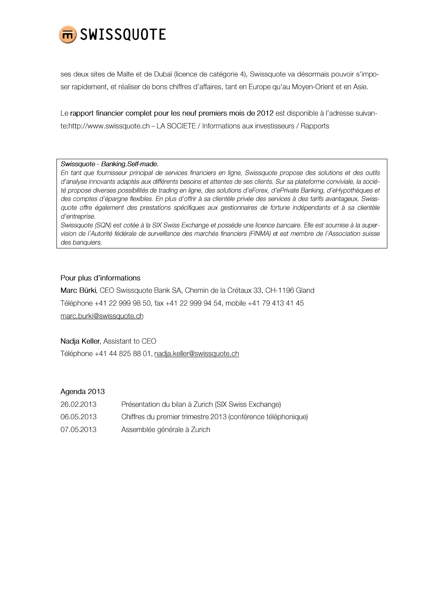

ses deux sites de Malte et de Dubaï (licence de catégorie 4), Swissquote va désormais pouvoir s'imposer rapidement, et réaliser de bons chiffres d'affaires, tant en Europe qu'au Moyen-Orient et en Asie.

Le rapport financier complet pour les neuf premiers mois de 2012 est disponible à l'adresse suivante:http://www.swissquote.ch - LA SOCIETE / Informations aux investisseurs / Rapports

#### Swissquote - Banking.Self-made.

En tant que fournisseur principal de services financiers en ligne, Swissquote propose des solutions et des outils d'analyse innovants adaptés aux différents besoins et attentes de ses clients. Sur sa plateforme conviviale, la société propose diverses possibilités de trading en ligne, des solutions d'eForex, d'ePrivate Banking, d'eHypothèques et des comptes d'épargne flexibles. En plus d'offrir à sa clientèle privée des services à des tarifs avantageux, Swissquote offre également des prestations spécifiques aux gestionnaires de fortune indépendants et à sa clientèle d'entreprise.

Swissquote (SQN) est cotée à la SIX Swiss Exchange et possède une licence bancaire. Elle est soumise à la supervision de l'Autorité fédérale de surveillance des marchés financiers (FINMA) et est membre de l'Association suisse des banquiers.

## Pour plus d'informations

Marc Bürki, CEO Swissquote Bank SA, Chemin de la Crétaux 33, CH-1196 Gland Téléphone +41 22 999 98 50, fax +41 22 999 94 54, mobile +41 79 413 41 45 marc.burki@swissquote.ch

Nadja Keller, Assistant to CEO

Téléphone +41 44 825 88 01, nadja.keller@swissquote.ch

# Agenda 2013

| 26.02.2013 | Présentation du bilan à Zurich (SIX Swiss Exchange)          |
|------------|--------------------------------------------------------------|
| 06.05.2013 | Chiffres du premier trimestre 2013 (conférence téléphonique) |
| 07.05.2013 | Assemblée générale à Zurich                                  |